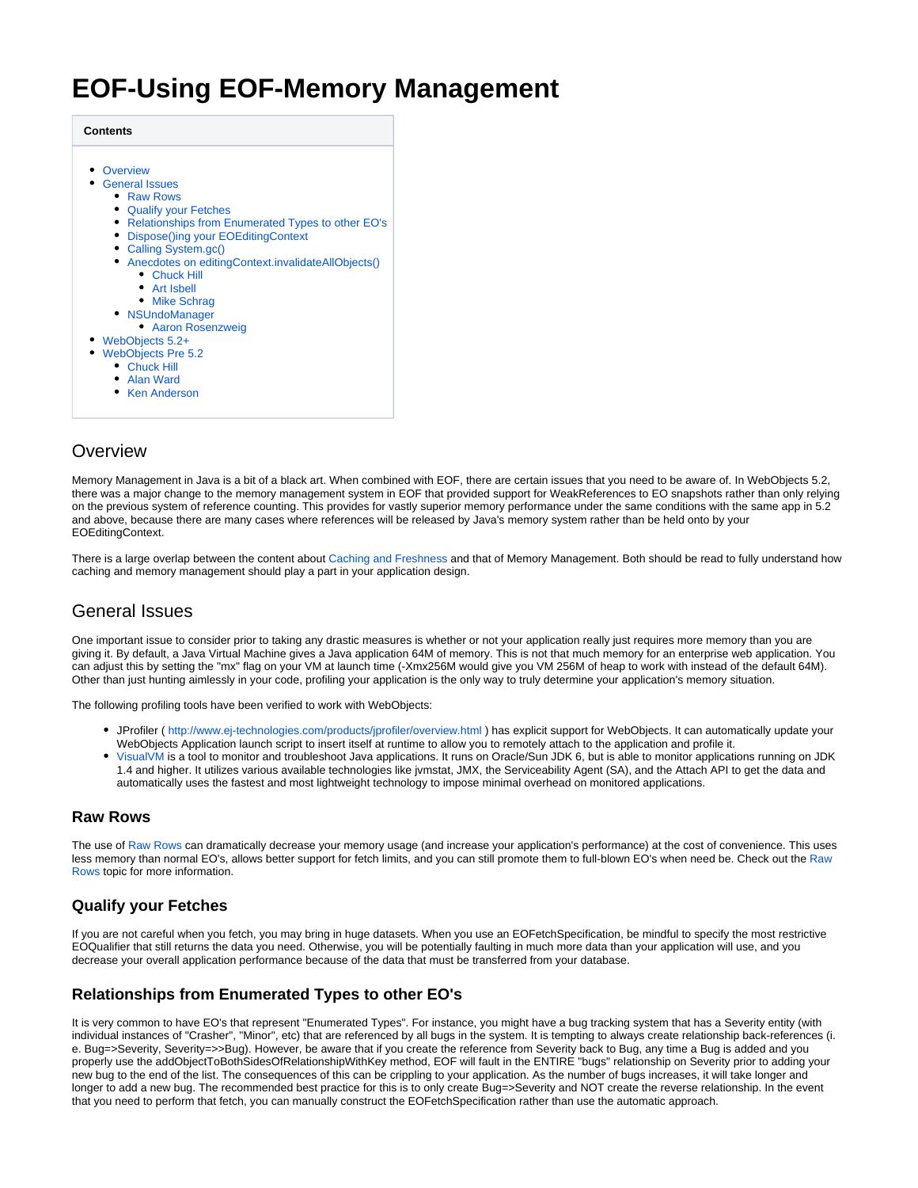# **EOF-Using EOF-Memory Management**

| <b>Contents</b>                                                                           |
|-------------------------------------------------------------------------------------------|
| Overview                                                                                  |
| <b>General Issues</b>                                                                     |
| • Raw Rows                                                                                |
| • Qualify your Fetches                                                                    |
| • Relationships from Enumerated Types to other EO's<br>Dispose()ing your EOEditingContext |
| • Calling System.gc()                                                                     |
| • Anecdotes on editingContext.invalidateAllObjects()                                      |
| • Chuck Hill                                                                              |
| • Art Isbell                                                                              |
| • Mike Schrag                                                                             |
| • NSUndoManager                                                                           |
| • Aaron Rosenzweig                                                                        |
| WebObjects 5.2+                                                                           |
| • WebObjects Pre 5.2<br>• Chuck Hill                                                      |
| • Alan Ward                                                                               |
| <b>Ken Anderson</b>                                                                       |
|                                                                                           |

# <span id="page-0-0"></span>**Overview**

Memory Management in Java is a bit of a black art. When combined with EOF, there are certain issues that you need to be aware of. In WebObjects 5.2, there was a major change to the memory management system in EOF that provided support for WeakReferences to EO snapshots rather than only relying on the previous system of reference counting. This provides for vastly superior memory performance under the same conditions with the same app in 5.2 and above, because there are many cases where references will be released by Java's memory system rather than be held onto by your EOEditingContext.

There is a large overlap between the content about [Caching and Freshness](https://wiki.wocommunity.org/display/documentation/EOF-Using+EOF-Caching+and+Freshness) and that of Memory Management. Both should be read to fully understand how caching and memory management should play a part in your application design.

# <span id="page-0-1"></span>General Issues

One important issue to consider prior to taking any drastic measures is whether or not your application really just requires more memory than you are giving it. By default, a Java Virtual Machine gives a Java application 64M of memory. This is not that much memory for an enterprise web application. You can adjust this by setting the "mx" flag on your VM at launch time (-Xmx256M would give you VM 256M of heap to work with instead of the default 64M). Other than just hunting aimlessly in your code, profiling your application is the only way to truly determine your application's memory situation.

The following profiling tools have been verified to work with WebObjects:

- JProfiler (<http://www.ej-technologies.com/products/jprofiler/overview.html> ) has explicit support for WebObjects. It can automatically update your WebObjects Application launch script to insert itself at runtime to allow you to remotely attach to the application and profile it.
- [VisualVM](https://visualvm.dev.java.net/features.html) is a tool to monitor and troubleshoot Java applications. It runs on Oracle/Sun JDK 6, but is able to monitor applications running on JDK 1.4 and higher. It utilizes various available technologies like jvmstat, JMX, the Serviceability Agent (SA), and the Attach API to get the data and automatically uses the fastest and most lightweight technology to impose minimal overhead on monitored applications.

# <span id="page-0-2"></span>**Raw Rows**

The use of [Raw Rows](https://wiki.wocommunity.org/display/documentation/EOF-Using+EOF-Raw+Rows) can dramatically decrease your memory usage (and increase your application's performance) at the cost of convenience. This uses less memory than normal EO's, allows better support for fetch limits, and you can still promote them to full-blown EO's when need be. Check out the Raw [Rows](https://wiki.wocommunity.org/display/documentation/EOF-Using+EOF-Raw+Rows) topic for more information.

# <span id="page-0-3"></span>**Qualify your Fetches**

If you are not careful when you fetch, you may bring in huge datasets. When you use an EOFetchSpecification, be mindful to specify the most restrictive EOQualifier that still returns the data you need. Otherwise, you will be potentially faulting in much more data than your application will use, and you decrease your overall application performance because of the data that must be transferred from your database.

# <span id="page-0-4"></span>**Relationships from Enumerated Types to other EO's**

It is very common to have EO's that represent "Enumerated Types". For instance, you might have a bug tracking system that has a Severity entity (with individual instances of "Crasher", "Minor", etc) that are referenced by all bugs in the system. It is tempting to always create relationship back-references (i. e. Bug=>Severity, Severity=>>Bug). However, be aware that if you create the reference from Severity back to Bug, any time a Bug is added and you properly use the addObjectToBothSidesOfRelationshipWithKey method, EOF will fault in the ENTIRE "bugs" relationship on Severity prior to adding your new bug to the end of the list. The consequences of this can be crippling to your application. As the number of bugs increases, it will take longer and longer to add a new bug. The recommended best practice for this is to only create Bug=>Severity and NOT create the reverse relationship. In the event that you need to perform that fetch, you can manually construct the EOFetchSpecification rather than use the automatic approach.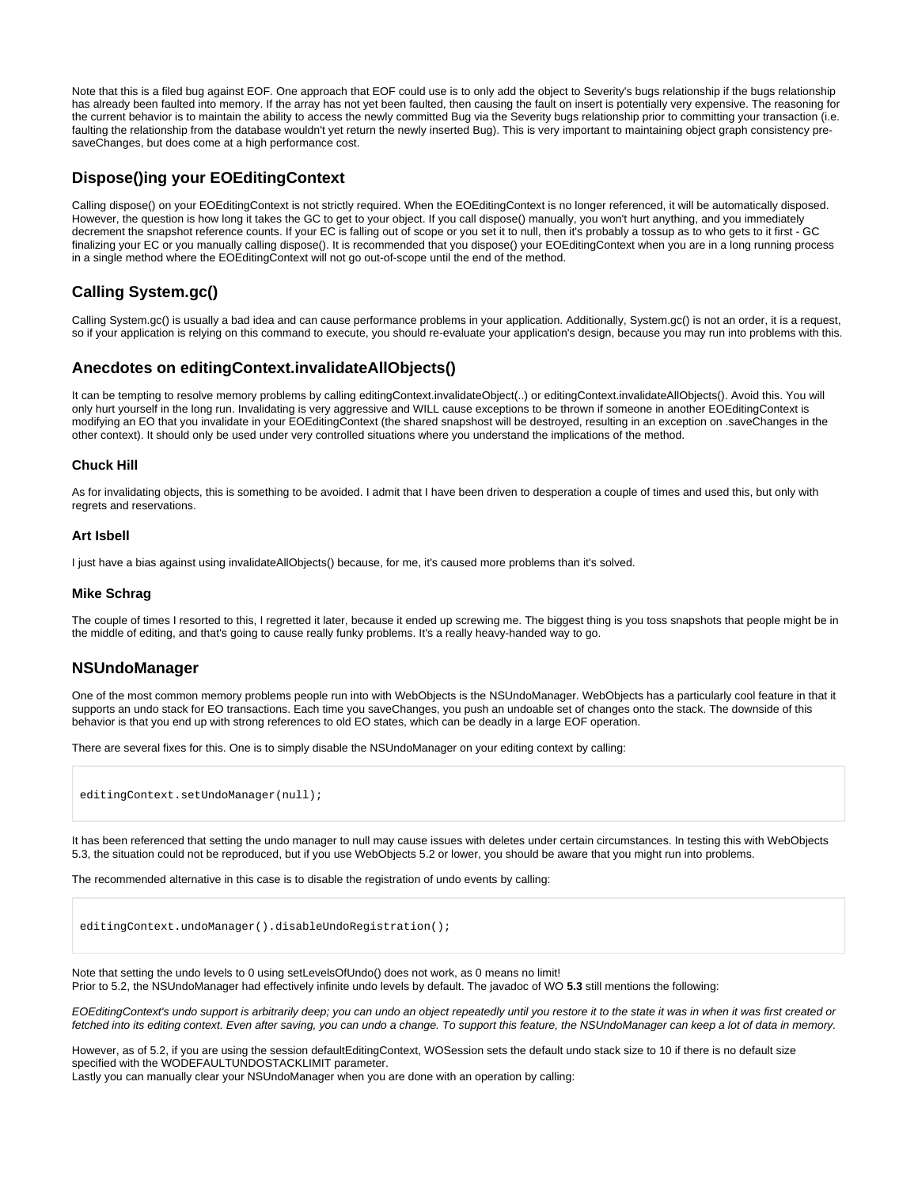Note that this is a filed bug against EOF. One approach that EOF could use is to only add the object to Severity's bugs relationship if the bugs relationship has already been faulted into memory. If the array has not yet been faulted, then causing the fault on insert is potentially very expensive. The reasoning for the current behavior is to maintain the ability to access the newly committed Bug via the Severity bugs relationship prior to committing your transaction (i.e. faulting the relationship from the database wouldn't yet return the newly inserted Bug). This is very important to maintaining object graph consistency presaveChanges, but does come at a high performance cost.

# <span id="page-1-0"></span>**Dispose()ing your EOEditingContext**

Calling dispose() on your EOEditingContext is not strictly required. When the EOEditingContext is no longer referenced, it will be automatically disposed. However, the question is how long it takes the GC to get to your object. If you call dispose() manually, you won't hurt anything, and you immediately decrement the snapshot reference counts. If your EC is falling out of scope or you set it to null, then it's probably a tossup as to who gets to it first - GC finalizing your EC or you manually calling dispose(). It is recommended that you dispose() your EOEditingContext when you are in a long running process in a single method where the EOEditingContext will not go out-of-scope until the end of the method.

# <span id="page-1-1"></span>**Calling System.gc()**

Calling System.gc() is usually a bad idea and can cause performance problems in your application. Additionally, System.gc() is not an order, it is a request, so if your application is relying on this command to execute, you should re-evaluate your application's design, because you may run into problems with this.

# <span id="page-1-2"></span>**Anecdotes on editingContext.invalidateAllObjects()**

It can be tempting to resolve memory problems by calling editingContext.invalidateObject(..) or editingContext.invalidateAllObjects(). Avoid this. You will only hurt yourself in the long run. Invalidating is very aggressive and WILL cause exceptions to be thrown if someone in another EOEditingContext is modifying an EO that you invalidate in your EOEditingContext (the shared snapshost will be destroyed, resulting in an exception on .saveChanges in the other context). It should only be used under very controlled situations where you understand the implications of the method.

#### <span id="page-1-3"></span>**Chuck Hill**

As for invalidating objects, this is something to be avoided. I admit that I have been driven to desperation a couple of times and used this, but only with regrets and reservations.

#### <span id="page-1-4"></span>**Art Isbell**

I just have a bias against using invalidateAllObjects() because, for me, it's caused more problems than it's solved.

#### <span id="page-1-5"></span>**Mike Schrag**

The couple of times I resorted to this, I regretted it later, because it ended up screwing me. The biggest thing is you toss snapshots that people might be in the middle of editing, and that's going to cause really funky problems. It's a really heavy-handed way to go.

# <span id="page-1-6"></span>**NSUndoManager**

One of the most common memory problems people run into with WebObjects is the NSUndoManager. WebObjects has a particularly cool feature in that it supports an undo stack for EO transactions. Each time you saveChanges, you push an undoable set of changes onto the stack. The downside of this behavior is that you end up with strong references to old EO states, which can be deadly in a large EOF operation.

There are several fixes for this. One is to simply disable the NSUndoManager on your editing context by calling:

editingContext.setUndoManager(null);

It has been referenced that setting the undo manager to null may cause issues with deletes under certain circumstances. In testing this with WebObjects 5.3, the situation could not be reproduced, but if you use WebObjects 5.2 or lower, you should be aware that you might run into problems.

The recommended alternative in this case is to disable the registration of undo events by calling:

editingContext.undoManager().disableUndoRegistration();

Note that setting the undo levels to 0 using setLevelsOfUndo() does not work, as 0 means no limit! Prior to 5.2, the NSUndoManager had effectively infinite undo levels by default. The javadoc of WO **5.3** still mentions the following:

EOEditingContext's undo support is arbitrarily deep; you can undo an object repeatedly until you restore it to the state it was in when it was first created or fetched into its editing context. Even after saving, you can undo a change. To support this feature, the NSUndoManager can keep a lot of data in memory.

However, as of 5.2, if you are using the session defaultEditingContext, WOSession sets the default undo stack size to 10 if there is no default size specified with the WODEFAULTUNDOSTACKLIMIT parameter.

Lastly you can manually clear your NSUndoManager when you are done with an operation by calling: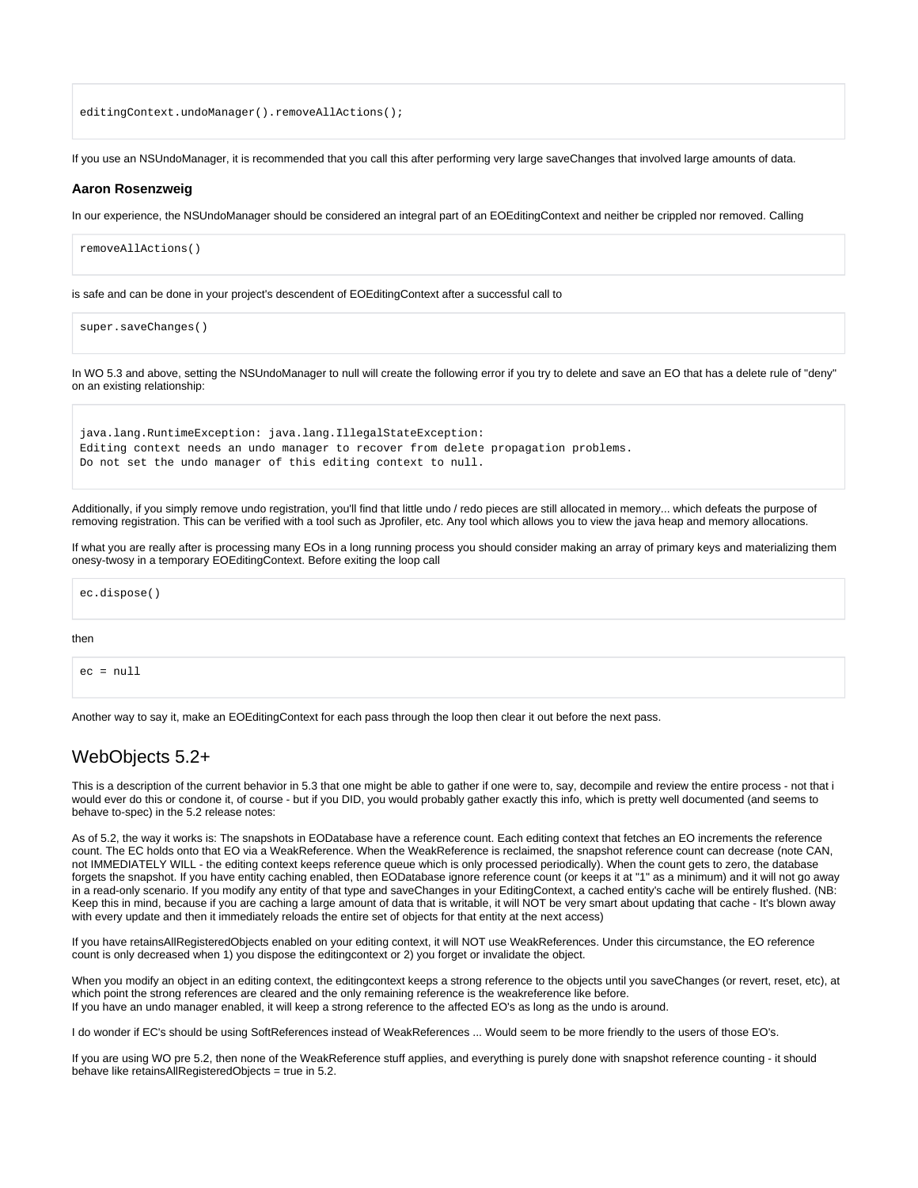editingContext.undoManager().removeAllActions();

If you use an NSUndoManager, it is recommended that you call this after performing very large saveChanges that involved large amounts of data.

#### <span id="page-2-0"></span>**Aaron Rosenzweig**

In our experience, the NSUndoManager should be considered an integral part of an EOEditingContext and neither be crippled nor removed. Calling

```
removeAllActions()
```
is safe and can be done in your project's descendent of EOEditingContext after a successful call to

super.saveChanges()

In WO 5.3 and above, setting the NSUndoManager to null will create the following error if you try to delete and save an EO that has a delete rule of "deny" on an existing relationship:

java.lang.RuntimeException: java.lang.IllegalStateException: Editing context needs an undo manager to recover from delete propagation problems. Do not set the undo manager of this editing context to null.

Additionally, if you simply remove undo registration, you'll find that little undo / redo pieces are still allocated in memory... which defeats the purpose of removing registration. This can be verified with a tool such as Jprofiler, etc. Any tool which allows you to view the java heap and memory allocations.

If what you are really after is processing many EOs in a long running process you should consider making an array of primary keys and materializing them onesy-twosy in a temporary EOEditingContext. Before exiting the loop call

ec.dispose()

#### then

 $ec = null$ 

Another way to say it, make an EOEditingContext for each pass through the loop then clear it out before the next pass.

# <span id="page-2-1"></span>WebObjects 5.2+

This is a description of the current behavior in 5.3 that one might be able to gather if one were to, say, decompile and review the entire process - not that i would ever do this or condone it, of course - but if you DID, you would probably gather exactly this info, which is pretty well documented (and seems to behave to-spec) in the 5.2 release notes:

As of 5.2, the way it works is: The snapshots in EODatabase have a reference count. Each editing context that fetches an EO increments the reference count. The EC holds onto that EO via a WeakReference. When the WeakReference is reclaimed, the snapshot reference count can decrease (note CAN, not IMMEDIATELY WILL - the editing context keeps reference queue which is only processed periodically). When the count gets to zero, the database forgets the snapshot. If you have entity caching enabled, then EODatabase ignore reference count (or keeps it at "1" as a minimum) and it will not go away in a read-only scenario. If you modify any entity of that type and saveChanges in your EditingContext, a cached entity's cache will be entirely flushed. (NB: Keep this in mind, because if you are caching a large amount of data that is writable, it will NOT be very smart about updating that cache - It's blown away with every update and then it immediately reloads the entire set of objects for that entity at the next access)

If you have retainsAllRegisteredObjects enabled on your editing context, it will NOT use WeakReferences. Under this circumstance, the EO reference count is only decreased when 1) you dispose the editingcontext or 2) you forget or invalidate the object.

When you modify an object in an editing context, the editingcontext keeps a strong reference to the objects until you saveChanges (or revert, reset, etc), at which point the strong references are cleared and the only remaining reference is the weakreference like before. If you have an undo manager enabled, it will keep a strong reference to the affected EO's as long as the undo is around.

I do wonder if EC's should be using SoftReferences instead of WeakReferences ... Would seem to be more friendly to the users of those EO's.

<span id="page-2-2"></span>If you are using WO pre 5.2, then none of the WeakReference stuff applies, and everything is purely done with snapshot reference counting - it should behave like retainsAllRegisteredObjects = true in 5.2.